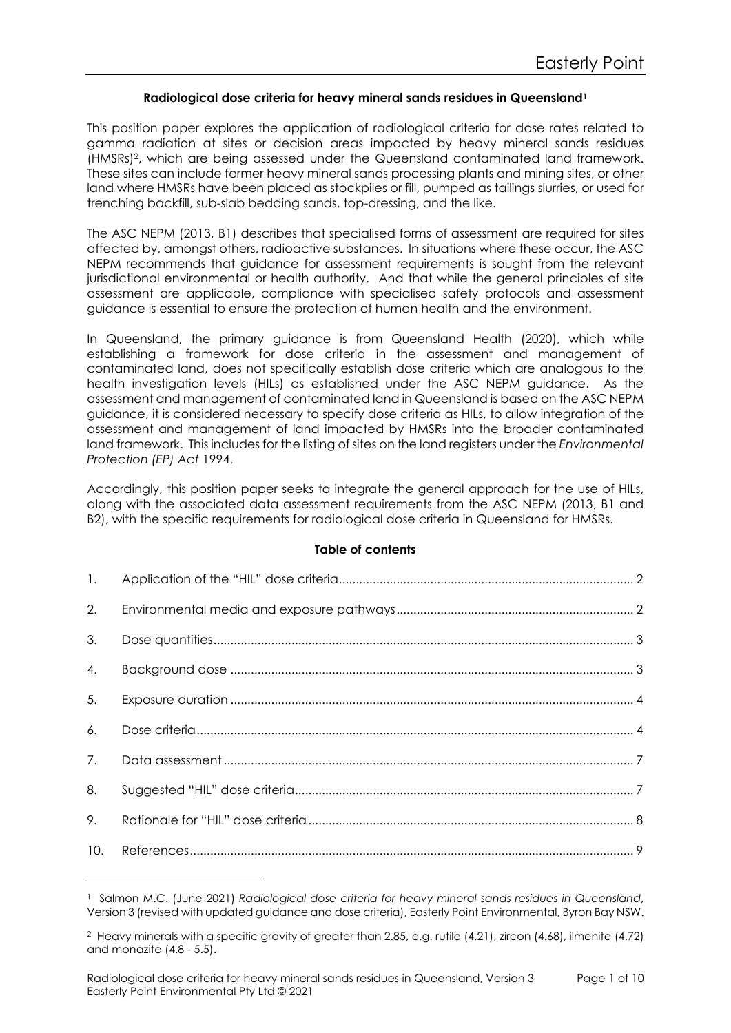### Radiological dose criteria for heavy mineral sands residues in Queensland<sup>1</sup>

This position paper explores the application of radiological criteria for dose rates related to gamma radiation at sites or decision areas impacted by heavy mineral sands residues (HMSRs)2, which are being assessed under the Queensland contaminated land framework. These sites can include former heavy mineral sands processing plants and mining sites, or other land where HMSRs have been placed as stockpiles or fill, pumped as tailings slurries, or used for trenching backfill, sub-slab bedding sands, top-dressing, and the like.

The ASC NEPM (2013, B1) describes that specialised forms of assessment are required for sites affected by, amongst others, radioactive substances. In situations where these occur, the ASC NEPM recommends that guidance for assessment requirements is sought from the relevant jurisdictional environmental or health authority. And that while the general principles of site assessment are applicable, compliance with specialised safety protocols and assessment guidance is essential to ensure the protection of human health and the environment.

In Queensland, the primary guidance is from Queensland Health (2020), which while establishing a framework for dose criteria in the assessment and management of contaminated land, does not specifically establish dose criteria which are analogous to the health investigation levels (HILs) as established under the ASC NEPM guidance. As the assessment and management of contaminated land in Queensland is based on the ASC NEPM guidance, it is considered necessary to specify dose criteria as HILs, to allow integration of the assessment and management of land impacted by HMSRs into the broader contaminated land framework. This includes for the listing of sites on the land registers under the Environmental Protection (EP) Act 1994.

Accordingly, this position paper seeks to integrate the general approach for the use of HILs, along with the associated data assessment requirements from the ASC NEPM (2013, B1 and B2), with the specific requirements for radiological dose criteria in Queensland for HMSRs.

### Table of contents

| 1.  |  |
|-----|--|
| 2.  |  |
| 3.  |  |
| 4.  |  |
| 5.  |  |
| 6.  |  |
| 7.  |  |
| 8.  |  |
| 9.  |  |
| 10. |  |

<sup>1</sup> Salmon M.C. (June 2021) Radiological dose criteria for heavy mineral sands residues in Queensland, Version 3 (revised with updated guidance and dose criteria), Easterly Point Environmental, Byron Bay NSW.

<sup>2</sup> Heavy minerals with a specific gravity of greater than 2.85, e.g. rutile (4.21), zircon (4.68), ilmenite (4.72) and monazite (4.8 - 5.5).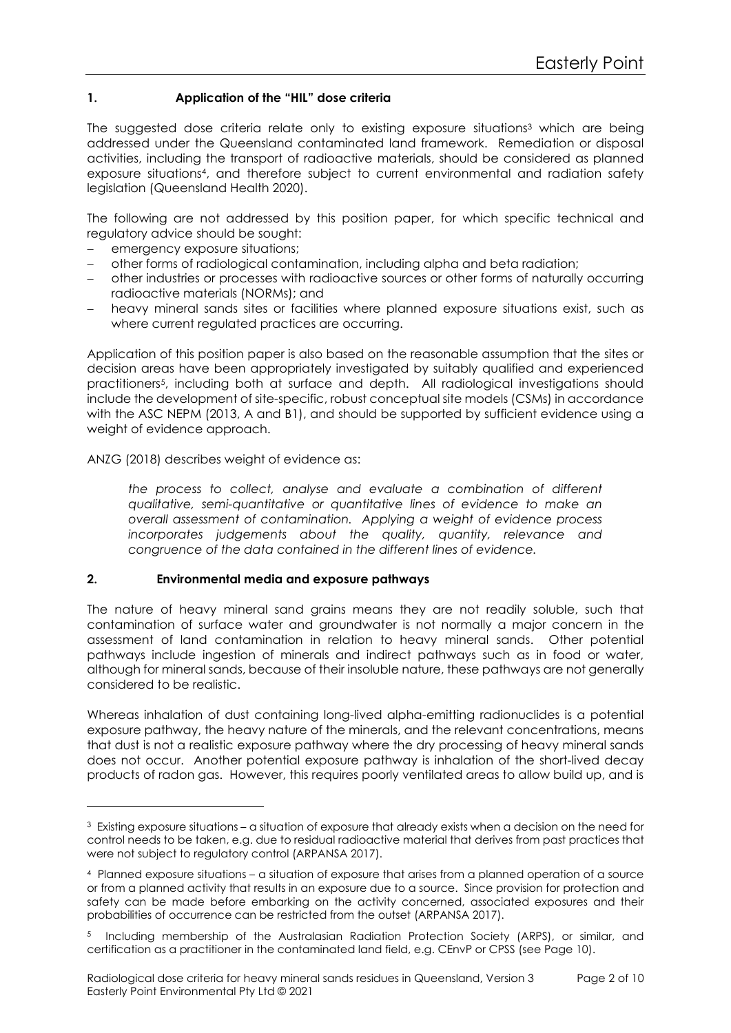# 1. Application of the "HIL" dose criteria

The suggested dose criteria relate only to existing exposure situations3 which are being addressed under the Queensland contaminated land framework. Remediation or disposal activities, including the transport of radioactive materials, should be considered as planned exposure situations4, and therefore subject to current environmental and radiation safety legislation (Queensland Health 2020).

The following are not addressed by this position paper, for which specific technical and regulatory advice should be sought:

- emergency exposure situations;
- other forms of radiological contamination, including alpha and beta radiation;
- other industries or processes with radioactive sources or other forms of naturally occurring radioactive materials (NORMs); and
- heavy mineral sands sites or facilities where planned exposure situations exist, such as where current regulated practices are occurring.

Application of this position paper is also based on the reasonable assumption that the sites or decision areas have been appropriately investigated by suitably qualified and experienced practitioners5, including both at surface and depth. All radiological investigations should include the development of site-specific, robust conceptual site models (CSMs) in accordance with the ASC NEPM (2013, A and B1), and should be supported by sufficient evidence using a weight of evidence approach.

ANZG (2018) describes weight of evidence as:

the process to collect, analyse and evaluate a combination of different qualitative, semi-quantitative or quantitative lines of evidence to make an overall assessment of contamination. Applying a weight of evidence process incorporates judgements about the quality, quantity, relevance and congruence of the data contained in the different lines of evidence.

### 2. Environmental media and exposure pathways

The nature of heavy mineral sand grains means they are not readily soluble, such that contamination of surface water and groundwater is not normally a major concern in the assessment of land contamination in relation to heavy mineral sands. Other potential pathways include ingestion of minerals and indirect pathways such as in food or water, although for mineral sands, because of their insoluble nature, these pathways are not generally considered to be realistic.

Whereas inhalation of dust containing long-lived alpha-emitting radionuclides is a potential exposure pathway, the heavy nature of the minerals, and the relevant concentrations, means that dust is not a realistic exposure pathway where the dry processing of heavy mineral sands does not occur. Another potential exposure pathway is inhalation of the short-lived decay products of radon gas. However, this requires poorly ventilated areas to allow build up, and is

 $^3$  Existing exposure situations – a situation of exposure that already exists when a decision on the need for control needs to be taken, e.g. due to residual radioactive material that derives from past practices that were not subject to regulatory control (ARPANSA 2017).

<sup>4</sup> Planned exposure situations – a situation of exposure that arises from a planned operation of a source or from a planned activity that results in an exposure due to a source. Since provision for protection and safety can be made before embarking on the activity concerned, associated exposures and their probabilities of occurrence can be restricted from the outset (ARPANSA 2017).

<sup>5</sup> Including membership of the Australasian Radiation Protection Society (ARPS), or similar, and certification as a practitioner in the contaminated land field, e.g. CEnvP or CPSS (see Page 10).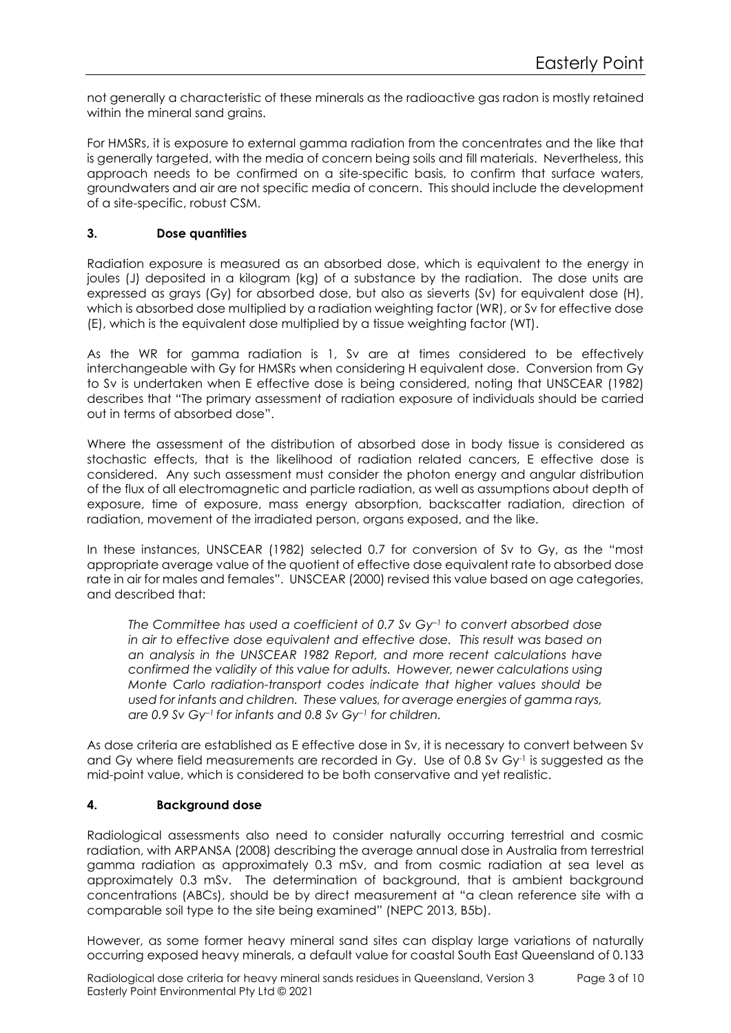not generally a characteristic of these minerals as the radioactive gas radon is mostly retained within the mineral sand grains.

For HMSRs, it is exposure to external gamma radiation from the concentrates and the like that is generally targeted, with the media of concern being soils and fill materials. Nevertheless, this approach needs to be confirmed on a site-specific basis, to confirm that surface waters, groundwaters and air are not specific media of concern. This should include the development of a site-specific, robust CSM.

## 3. Dose quantities

Radiation exposure is measured as an absorbed dose, which is equivalent to the energy in joules (J) deposited in a kilogram (kg) of a substance by the radiation. The dose units are expressed as grays (Gy) for absorbed dose, but also as sieverts (Sv) for equivalent dose (H), which is absorbed dose multiplied by a radiation weighting factor (WR), or Sv for effective dose (E), which is the equivalent dose multiplied by a tissue weighting factor (WT).

As the WR for gamma radiation is 1, Sv are at times considered to be effectively interchangeable with Gy for HMSRs when considering H equivalent dose. Conversion from Gy to Sv is undertaken when E effective dose is being considered, noting that UNSCEAR (1982) describes that "The primary assessment of radiation exposure of individuals should be carried out in terms of absorbed dose".

Where the assessment of the distribution of absorbed dose in body tissue is considered as stochastic effects, that is the likelihood of radiation related cancers, E effective dose is considered. Any such assessment must consider the photon energy and angular distribution of the flux of all electromagnetic and particle radiation, as well as assumptions about depth of exposure, time of exposure, mass energy absorption, backscatter radiation, direction of radiation, movement of the irradiated person, organs exposed, and the like.

In these instances, UNSCEAR (1982) selected 0.7 for conversion of Sv to Gy, as the "most appropriate average value of the quotient of effective dose equivalent rate to absorbed dose rate in air for males and females". UNSCEAR (2000) revised this value based on age categories, and described that:

The Committee has used a coefficient of 0.7 Sv Gy–1 to convert absorbed dose in air to effective dose equivalent and effective dose. This result was based on an analysis in the UNSCEAR 1982 Report, and more recent calculations have confirmed the validity of this value for adults. However, newer calculations using Monte Carlo radiation-transport codes indicate that higher values should be used for infants and children. These values, for average energies of gamma rays, are 0.9 Sv Gy-1 for infants and 0.8 Sv Gy-1 for children.

As dose criteria are established as E effective dose in Sv, it is necessary to convert between Sv and Gy where field measurements are recorded in Gy. Use of 0.8 Sv Gy-1 is suggested as the mid-point value, which is considered to be both conservative and yet realistic.

## 4. Background dose

Radiological assessments also need to consider naturally occurring terrestrial and cosmic radiation, with ARPANSA (2008) describing the average annual dose in Australia from terrestrial gamma radiation as approximately 0.3 mSv, and from cosmic radiation at sea level as approximately 0.3 mSv. The determination of background, that is ambient background concentrations (ABCs), should be by direct measurement at "a clean reference site with a comparable soil type to the site being examined" (NEPC 2013, B5b).

However, as some former heavy mineral sand sites can display large variations of naturally occurring exposed heavy minerals, a default value for coastal South East Queensland of 0.133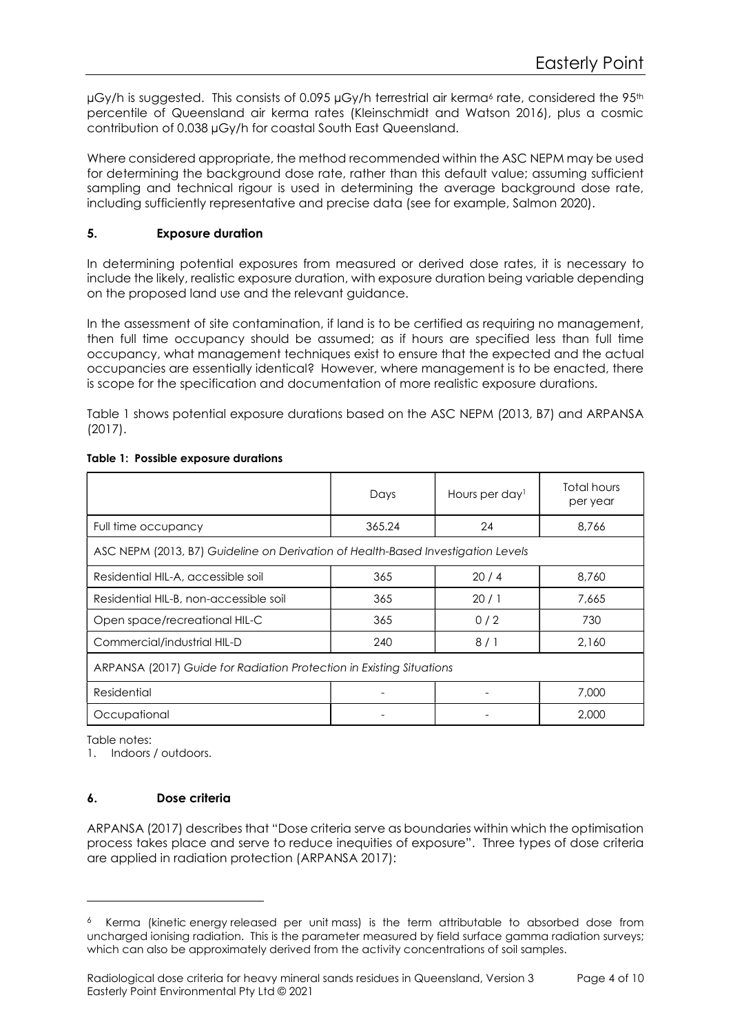µGy/h is suggested. This consists of 0.095 µGy/h terrestrial air kerma<sup>6</sup> rate, considered the 95<sup>th</sup> percentile of Queensland air kerma rates (Kleinschmidt and Watson 2016), plus a cosmic contribution of 0.038 µGy/h for coastal South East Queensland.

Where considered appropriate, the method recommended within the ASC NEPM may be used for determining the background dose rate, rather than this default value; assuming sufficient sampling and technical rigour is used in determining the average background dose rate, including sufficiently representative and precise data (see for example, Salmon 2020).

# 5. Exposure duration

In determining potential exposures from measured or derived dose rates, it is necessary to include the likely, realistic exposure duration, with exposure duration being variable depending on the proposed land use and the relevant guidance.

In the assessment of site contamination, if land is to be certified as requiring no management, then full time occupancy should be assumed; as if hours are specified less than full time occupancy, what management techniques exist to ensure that the expected and the actual occupancies are essentially identical? However, where management is to be enacted, there is scope for the specification and documentation of more realistic exposure durations.

Table 1 shows potential exposure durations based on the ASC NEPM (2013, B7) and ARPANSA (2017).

|                                                                                  | Days   | Hours per day <sup>1</sup> | Total hours<br>per year |
|----------------------------------------------------------------------------------|--------|----------------------------|-------------------------|
| Full time occupancy                                                              | 365.24 | 24                         | 8,766                   |
| ASC NEPM (2013, B7) Guideline on Derivation of Health-Based Investigation Levels |        |                            |                         |
| Residential HIL-A, accessible soil                                               | 365    | 20/4                       | 8,760                   |
| Residential HIL-B, non-accessible soil                                           | 365    | 20/1                       | 7.665                   |
| Open space/recreational HIL-C                                                    | 365    | 0/2                        | 730                     |
| Commercial/industrial HIL-D                                                      | 240    | 8/1                        | 2.160                   |
| ARPANSA (2017) Guide for Radiation Protection in Existing Situations             |        |                            |                         |
| Residential                                                                      |        |                            | 7,000                   |
| Occupational                                                                     |        |                            | 2,000                   |

### Table 1: Possible exposure durations

Table notes:

1. Indoors / outdoors.

## 6. Dose criteria

ARPANSA (2017) describes that "Dose criteria serve as boundaries within which the optimisation process takes place and serve to reduce inequities of exposure". Three types of dose criteria are applied in radiation protection (ARPANSA 2017):

<sup>6</sup> Kerma (kinetic energy released per unit mass) is the term attributable to absorbed dose from uncharged ionising radiation. This is the parameter measured by field surface gamma radiation surveys; which can also be approximately derived from the activity concentrations of soil samples.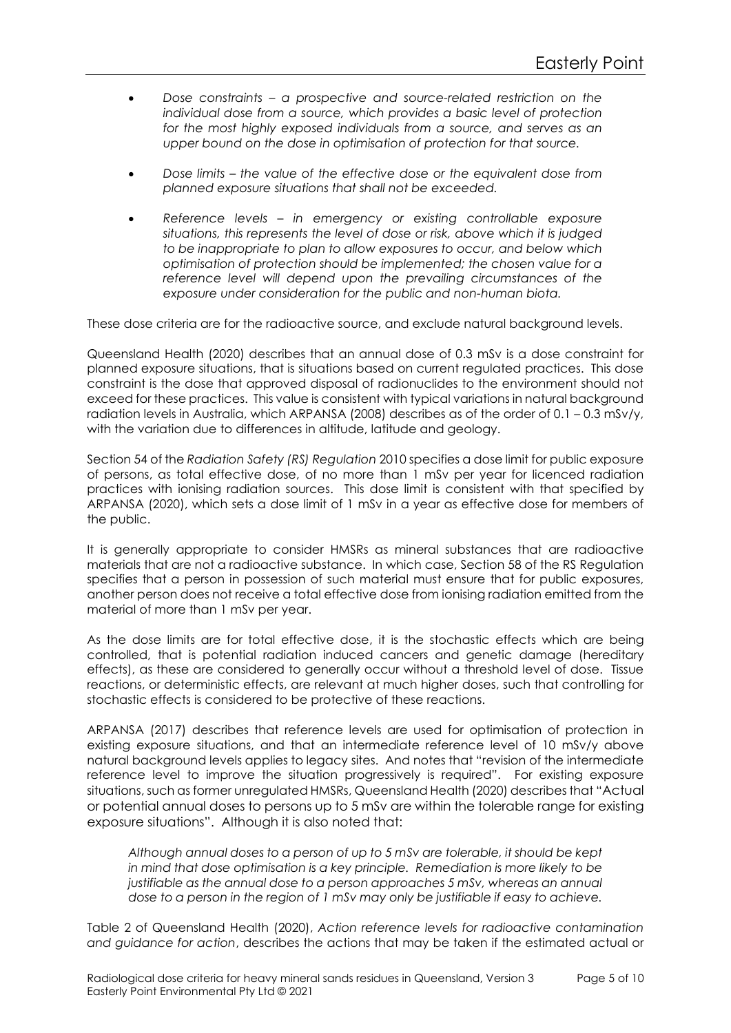- Dose constraints a prospective and source-related restriction on the individual dose from a source, which provides a basic level of protection for the most highly exposed individuals from a source, and serves as an upper bound on the dose in optimisation of protection for that source.
- Dose limits the value of the effective dose or the equivalent dose from planned exposure situations that shall not be exceeded.
- Reference levels in emergency or existing controllable exposure situations, this represents the level of dose or risk, above which it is judged to be inappropriate to plan to allow exposures to occur, and below which optimisation of protection should be implemented; the chosen value for a reference level will depend upon the prevailing circumstances of the exposure under consideration for the public and non-human biota.

These dose criteria are for the radioactive source, and exclude natural background levels.

Queensland Health (2020) describes that an annual dose of 0.3 mSv is a dose constraint for planned exposure situations, that is situations based on current regulated practices. This dose constraint is the dose that approved disposal of radionuclides to the environment should not exceed for these practices. This value is consistent with typical variations in natural background radiation levels in Australia, which ARPANSA (2008) describes as of the order of 0.1 – 0.3 mSv/y, with the variation due to differences in altitude, latitude and geology.

Section 54 of the Radiation Safety (RS) Regulation 2010 specifies a dose limit for public exposure of persons, as total effective dose, of no more than 1 mSv per year for licenced radiation practices with ionising radiation sources. This dose limit is consistent with that specified by ARPANSA (2020), which sets a dose limit of 1 mSv in a year as effective dose for members of the public.

It is generally appropriate to consider HMSRs as mineral substances that are radioactive materials that are not a radioactive substance. In which case, Section 58 of the RS Regulation specifies that a person in possession of such material must ensure that for public exposures, another person does not receive a total effective dose from ionising radiation emitted from the material of more than 1 mSv per year.

As the dose limits are for total effective dose, it is the stochastic effects which are being controlled, that is potential radiation induced cancers and genetic damage (hereditary effects), as these are considered to generally occur without a threshold level of dose. Tissue reactions, or deterministic effects, are relevant at much higher doses, such that controlling for stochastic effects is considered to be protective of these reactions.

ARPANSA (2017) describes that reference levels are used for optimisation of protection in existing exposure situations, and that an intermediate reference level of 10 mSv/y above natural background levels applies to legacy sites. And notes that "revision of the intermediate reference level to improve the situation progressively is required". For existing exposure situations, such as former unregulated HMSRs, Queensland Health (2020) describes that "Actual or potential annual doses to persons up to 5 mSv are within the tolerable range for existing exposure situations". Although it is also noted that:

Although annual doses to a person of up to 5 mSv are tolerable, it should be kept in mind that dose optimisation is a key principle. Remediation is more likely to be justifiable as the annual dose to a person approaches 5 mSv, whereas an annual dose to a person in the region of 1 mSv may only be justifiable if easy to achieve.

Table 2 of Queensland Health (2020), Action reference levels for radioactive contamination and guidance for action, describes the actions that may be taken if the estimated actual or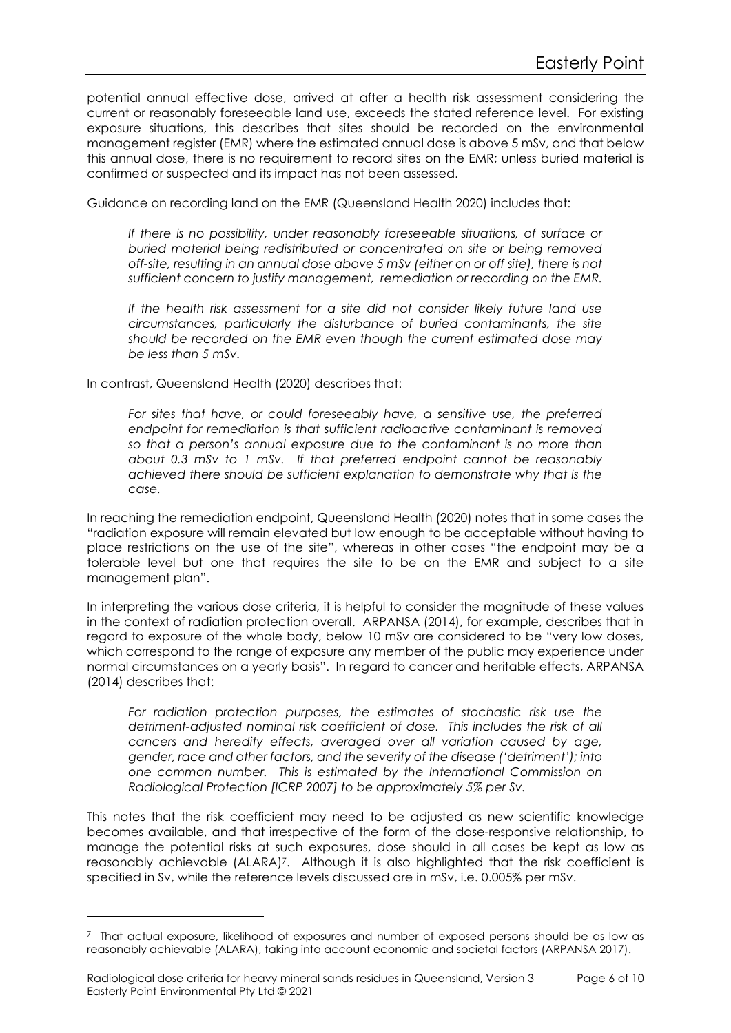potential annual effective dose, arrived at after a health risk assessment considering the current or reasonably foreseeable land use, exceeds the stated reference level. For existing exposure situations, this describes that sites should be recorded on the environmental management register (EMR) where the estimated annual dose is above 5 mSv, and that below this annual dose, there is no requirement to record sites on the EMR; unless buried material is confirmed or suspected and its impact has not been assessed.

Guidance on recording land on the EMR (Queensland Health 2020) includes that:

If there is no possibility, under reasonably foreseeable situations, of surface or buried material being redistributed or concentrated on site or being removed off-site, resulting in an annual dose above 5 mSv (either on or off site), there is not sufficient concern to justify management, remediation or recording on the EMR.

If the health risk assessment for a site did not consider likely future land use circumstances, particularly the disturbance of buried contaminants, the site should be recorded on the EMR even though the current estimated dose may be less than 5 mSv.

In contrast, Queensland Health (2020) describes that:

For sites that have, or could foreseeably have, a sensitive use, the preferred endpoint for remediation is that sufficient radioactive contaminant is removed so that a person's annual exposure due to the contaminant is no more than about 0.3 mSv to 1 mSv. If that preferred endpoint cannot be reasonably achieved there should be sufficient explanation to demonstrate why that is the case.

In reaching the remediation endpoint, Queensland Health (2020) notes that in some cases the "radiation exposure will remain elevated but low enough to be acceptable without having to place restrictions on the use of the site", whereas in other cases "the endpoint may be a tolerable level but one that requires the site to be on the EMR and subject to a site management plan".

In interpreting the various dose criteria, it is helpful to consider the magnitude of these values in the context of radiation protection overall. ARPANSA (2014), for example, describes that in regard to exposure of the whole body, below 10 mSv are considered to be "very low doses, which correspond to the range of exposure any member of the public may experience under normal circumstances on a yearly basis". In regard to cancer and heritable effects, ARPANSA (2014) describes that:

For radiation protection purposes, the estimates of stochastic risk use the detriment-adjusted nominal risk coefficient of dose. This includes the risk of all cancers and heredity effects, averaged over all variation caused by age, gender, race and other factors, and the severity of the disease ('detriment'); into one common number. This is estimated by the International Commission on Radiological Protection (ICRP 2007) to be approximately 5% per Sv.

This notes that the risk coefficient may need to be adjusted as new scientific knowledge becomes available, and that irrespective of the form of the dose-responsive relationship, to manage the potential risks at such exposures, dose should in all cases be kept as low as reasonably achievable (ALARA)<sup>7</sup>. Although it is also highlighted that the risk coefficient is specified in Sv, while the reference levels discussed are in mSv, i.e. 0.005% per mSv.

 $^7$  That actual exposure, likelihood of exposures and number of exposed persons should be as low as reasonably achievable (ALARA), taking into account economic and societal factors (ARPANSA 2017).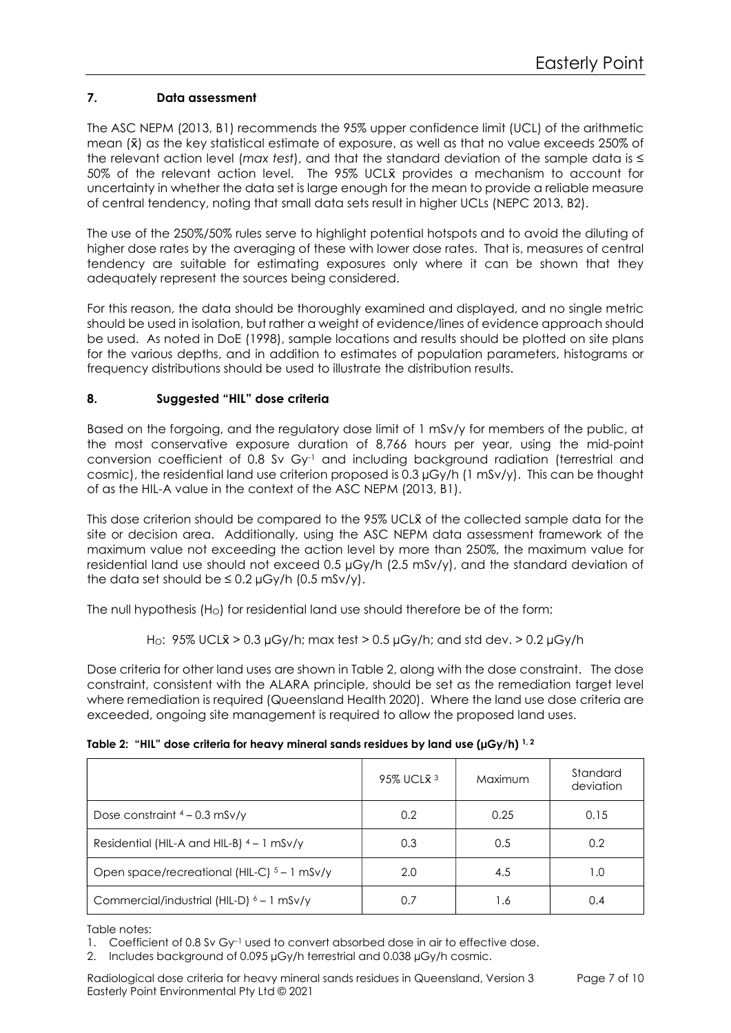# 7. Data assessment

The ASC NEPM (2013, B1) recommends the 95% upper confidence limit (UCL) of the arithmetic mean  $(\bar{x})$  as the key statistical estimate of exposure, as well as that no value exceeds 250% of the relevant action level (max test), and that the standard deviation of the sample data is  $\leq$ 50% of the relevant action level. The 95% UCLX provides a mechanism to account for uncertainty in whether the data set is large enough for the mean to provide a reliable measure of central tendency, noting that small data sets result in higher UCLs (NEPC 2013, B2).

The use of the 250%/50% rules serve to highlight potential hotspots and to avoid the diluting of higher dose rates by the averaging of these with lower dose rates. That is, measures of central tendency are suitable for estimating exposures only where it can be shown that they adequately represent the sources being considered.

For this reason, the data should be thoroughly examined and displayed, and no single metric should be used in isolation, but rather a weight of evidence/lines of evidence approach should be used. As noted in DoE (1998), sample locations and results should be plotted on site plans for the various depths, and in addition to estimates of population parameters, histograms or frequency distributions should be used to illustrate the distribution results.

## 8. Suggested "HIL" dose criteria

Based on the forgoing, and the regulatory dose limit of 1 mSv/y for members of the public, at the most conservative exposure duration of 8,766 hours per year, using the mid-point conversion coefficient of 0.8 Sv Gy-1 and including background radiation (terrestrial and cosmic), the residential land use criterion proposed is 0.3 µGy/h (1 mSv/y). This can be thought of as the HIL-A value in the context of the ASC NEPM (2013, B1).

This dose criterion should be compared to the 95% UCLX of the collected sample data for the site or decision area. Additionally, using the ASC NEPM data assessment framework of the maximum value not exceeding the action level by more than 250%, the maximum value for residential land use should not exceed 0.5 µGy/h (2.5 mSv/y), and the standard deviation of the data set should be  $\leq 0.2 \mu Gy/h$  (0.5 mSv/y).

The null hypothesis (H<sub>O</sub>) for residential land use should therefore be of the form:

Ho:  $95\%$  UCL $\bar{x}$  > 0.3 µGy/h; max test > 0.5 µGy/h; and std dev. > 0.2 µGy/h

Dose criteria for other land uses are shown in Table 2, along with the dose constraint. The dose constraint, consistent with the ALARA principle, should be set as the remediation target level where remediation is required (Queensland Health 2020). Where the land use dose criteria are exceeded, ongoing site management is required to allow the proposed land uses.

| Table 2: "HIL" dose criteria for heavy mineral sands residues by land use ( $\mu G y/h$ ) <sup>1,2</sup> |  |
|----------------------------------------------------------------------------------------------------------|--|
|----------------------------------------------------------------------------------------------------------|--|

|                                               | 95% UCL $\bar{x}$ <sup>3</sup> | Maximum | Standard<br>deviation |
|-----------------------------------------------|--------------------------------|---------|-----------------------|
| Dose constraint $4 - 0.3$ mSv/y               | 0.2                            | 0.25    | 0.15                  |
| Residential (HIL-A and HIL-B) $4 - 1$ mSv/y   | 0.3                            | 0.5     | 0.2                   |
| Open space/recreational (HIL-C) $5 - 1$ mSv/y | 2.0                            | 4.5     | 1.0                   |
| Commercial/industrial (HIL-D) 6 - 1 mSv/y     | 0.7                            | 1.6     | 0.4                   |

Table notes:

1. Coefficient of 0.8 Sv Gy<sup>-1</sup> used to convert absorbed dose in air to effective dose.

2. Includes background of 0.095 µGy/h terrestrial and 0.038 µGy/h cosmic.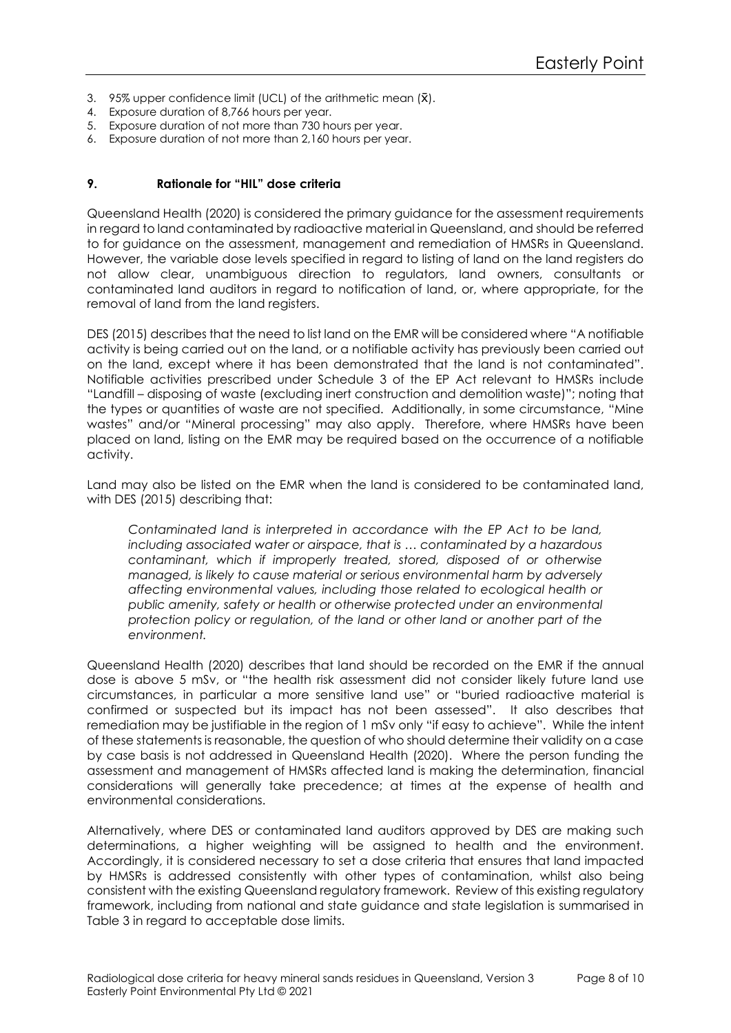- 3. 95% upper confidence limit (UCL) of the arithmetic mean  $(\bar{x})$ .
- 4. Exposure duration of 8,766 hours per year.
- 5. Exposure duration of not more than 730 hours per year.
- 6. Exposure duration of not more than 2,160 hours per year.

### 9. Rationale for "HIL" dose criteria

Queensland Health (2020) is considered the primary guidance for the assessment requirements in regard to land contaminated by radioactive material in Queensland, and should be referred to for guidance on the assessment, management and remediation of HMSRs in Queensland. However, the variable dose levels specified in regard to listing of land on the land registers do not allow clear, unambiguous direction to regulators, land owners, consultants or contaminated land auditors in regard to notification of land, or, where appropriate, for the removal of land from the land registers.

DES (2015) describes that the need to list land on the EMR will be considered where "A notifiable activity is being carried out on the land, or a notifiable activity has previously been carried out on the land, except where it has been demonstrated that the land is not contaminated". Notifiable activities prescribed under Schedule 3 of the EP Act relevant to HMSRs include "Landfill – disposing of waste (excluding inert construction and demolition waste)"; noting that the types or quantities of waste are not specified. Additionally, in some circumstance, "Mine wastes" and/or "Mineral processing" may also apply. Therefore, where HMSRs have been placed on land, listing on the EMR may be required based on the occurrence of a notifiable activity.

Land may also be listed on the EMR when the land is considered to be contaminated land, with DES (2015) describing that:

Contaminated land is interpreted in accordance with the EP Act to be land, including associated water or airspace, that is … contaminated by a hazardous contaminant, which if improperly treated, stored, disposed of or otherwise managed, is likely to cause material or serious environmental harm by adversely affecting environmental values, including those related to ecological health or public amenity, safety or health or otherwise protected under an environmental protection policy or regulation, of the land or other land or another part of the environment.

Queensland Health (2020) describes that land should be recorded on the EMR if the annual dose is above 5 mSv, or "the health risk assessment did not consider likely future land use circumstances, in particular a more sensitive land use" or "buried radioactive material is confirmed or suspected but its impact has not been assessed". It also describes that remediation may be justifiable in the region of 1 mSv only "if easy to achieve". While the intent of these statements is reasonable, the question of who should determine their validity on a case by case basis is not addressed in Queensland Health (2020). Where the person funding the assessment and management of HMSRs affected land is making the determination, financial considerations will generally take precedence; at times at the expense of health and environmental considerations.

Alternatively, where DES or contaminated land auditors approved by DES are making such determinations, a higher weighting will be assigned to health and the environment. Accordingly, it is considered necessary to set a dose criteria that ensures that land impacted by HMSRs is addressed consistently with other types of contamination, whilst also being consistent with the existing Queensland regulatory framework. Review of this existing regulatory framework, including from national and state guidance and state legislation is summarised in Table 3 in regard to acceptable dose limits.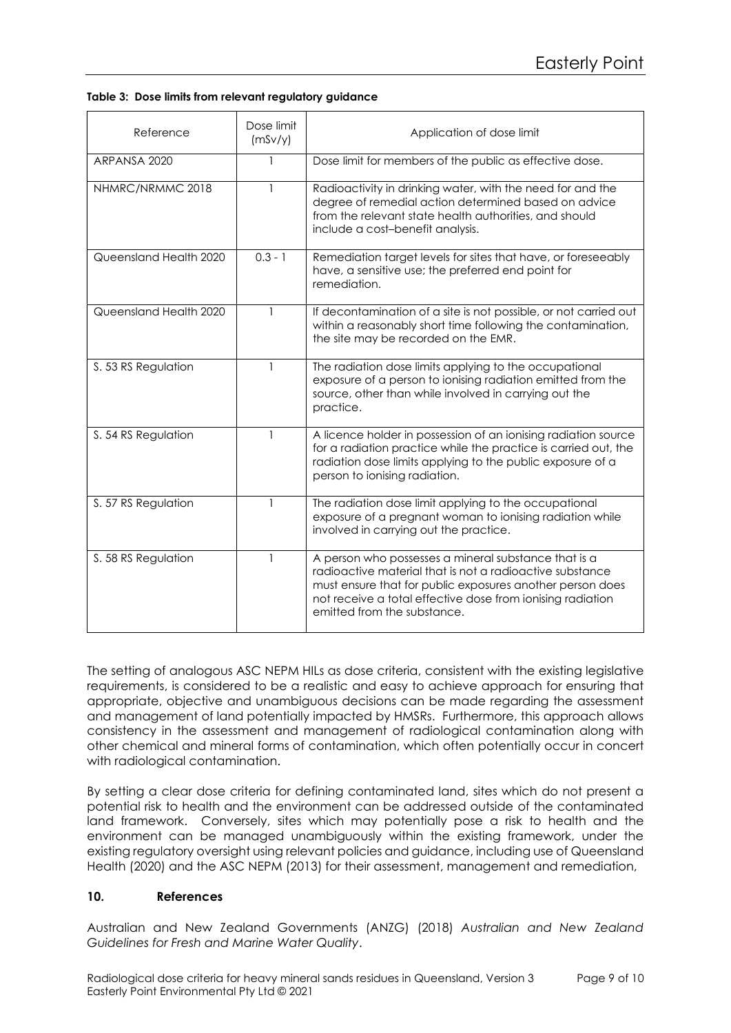|  |  |  |  | Table 3: Dose limits from relevant regulatory guidance |  |
|--|--|--|--|--------------------------------------------------------|--|
|--|--|--|--|--------------------------------------------------------|--|

| Reference              | Dose limit<br>(mSv/y) | Application of dose limit                                                                                                                                                                                                                                                  |
|------------------------|-----------------------|----------------------------------------------------------------------------------------------------------------------------------------------------------------------------------------------------------------------------------------------------------------------------|
| ARPANSA 2020           | 1                     | Dose limit for members of the public as effective dose.                                                                                                                                                                                                                    |
| NHMRC/NRMMC 2018       |                       | Radioactivity in drinking water, with the need for and the<br>degree of remedial action determined based on advice<br>from the relevant state health authorities, and should<br>include a cost-benefit analysis.                                                           |
| Queensland Health 2020 | $0.3 - 1$             | Remediation target levels for sites that have, or foreseeably<br>have, a sensitive use; the preferred end point for<br>remediation.                                                                                                                                        |
| Queensland Health 2020 |                       | If decontamination of a site is not possible, or not carried out<br>within a reasonably short time following the contamination,<br>the site may be recorded on the EMR.                                                                                                    |
| S. 53 RS Regulation    | 1                     | The radiation dose limits applying to the occupational<br>exposure of a person to ionising radiation emitted from the<br>source, other than while involved in carrying out the<br>practice.                                                                                |
| S. 54 RS Regulation    |                       | A licence holder in possession of an ionising radiation source<br>for a radiation practice while the practice is carried out, the<br>radiation dose limits applying to the public exposure of a<br>person to ionising radiation.                                           |
| S. 57 RS Regulation    | 1                     | The radiation dose limit applying to the occupational<br>exposure of a pregnant woman to ionising radiation while<br>involved in carrying out the practice.                                                                                                                |
| S. 58 RS Regulation    | 1                     | A person who possesses a mineral substance that is a<br>radioactive material that is not a radioactive substance<br>must ensure that for public exposures another person does<br>not receive a total effective dose from ionising radiation<br>emitted from the substance. |

The setting of analogous ASC NEPM HILs as dose criteria, consistent with the existing legislative requirements, is considered to be a realistic and easy to achieve approach for ensuring that appropriate, objective and unambiguous decisions can be made regarding the assessment and management of land potentially impacted by HMSRs. Furthermore, this approach allows consistency in the assessment and management of radiological contamination along with other chemical and mineral forms of contamination, which often potentially occur in concert with radiological contamination.

By setting a clear dose criteria for defining contaminated land, sites which do not present a potential risk to health and the environment can be addressed outside of the contaminated land framework. Conversely, sites which may potentially pose a risk to health and the environment can be managed unambiguously within the existing framework, under the existing regulatory oversight using relevant policies and guidance, including use of Queensland Health (2020) and the ASC NEPM (2013) for their assessment, management and remediation,

### 10. References

Australian and New Zealand Governments (ANZG) (2018) Australian and New Zealand Guidelines for Fresh and Marine Water Quality.